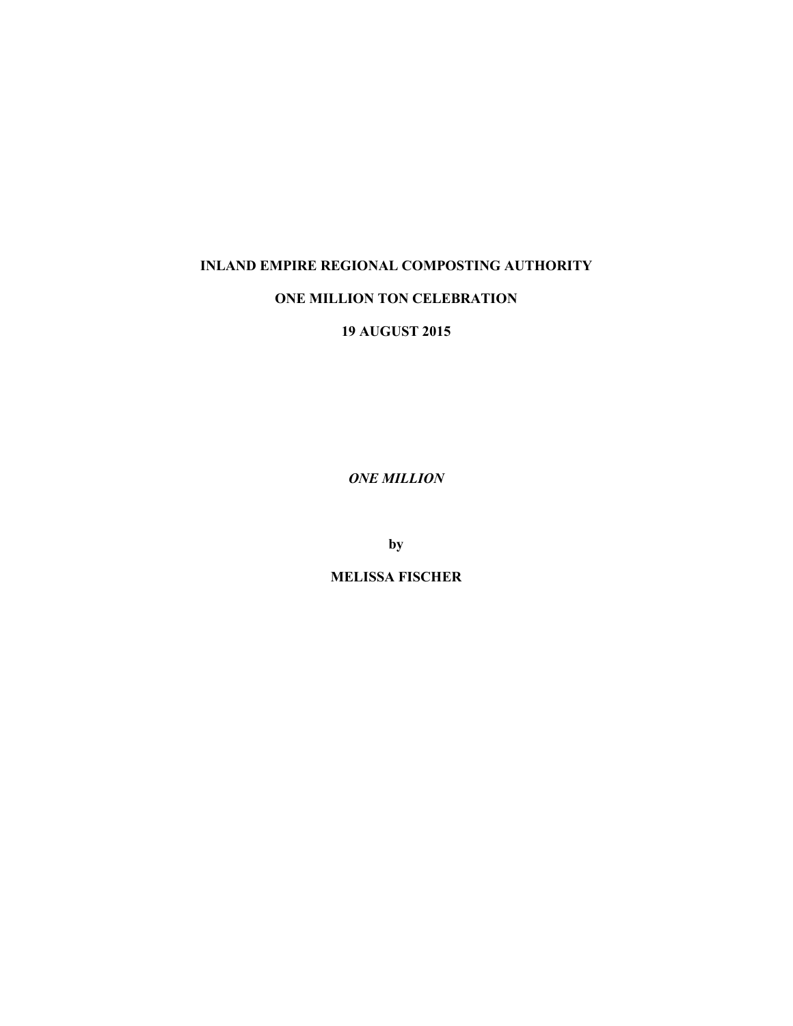## **INLAND EMPIRE REGIONAL COMPOSTING AUTHORITY**

## **ONE MILLION TON CELEBRATION**

**19 AUGUST 2015**

*ONE MILLION*

**by**

**MELISSA FISCHER**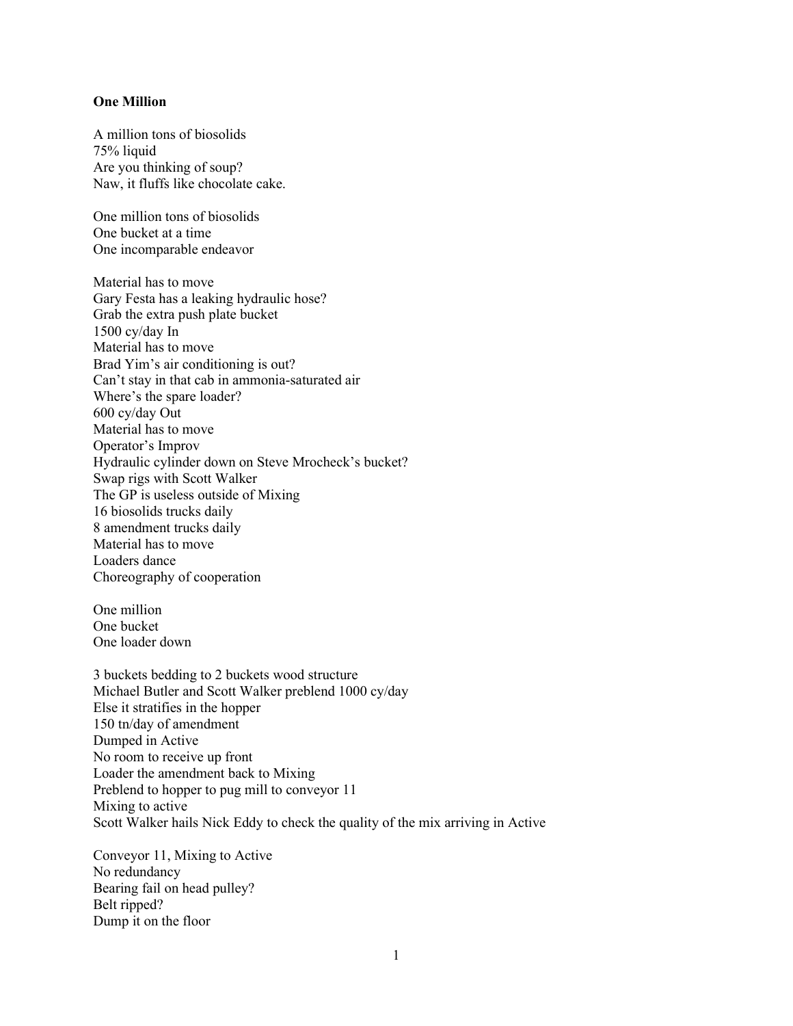## **One Million**

A million tons of biosolids 75% liquid Are you thinking of soup? Naw, it fluffs like chocolate cake.

One million tons of biosolids One bucket at a time One incomparable endeavor

Material has to move Gary Festa has a leaking hydraulic hose? Grab the extra push plate bucket 1500 cy/day In Material has to move Brad Yim's air conditioning is out? Can't stay in that cab in ammonia-saturated air Where's the spare loader? 600 cy/day Out Material has to move Operator's Improv Hydraulic cylinder down on Steve Mrocheck's bucket? Swap rigs with Scott Walker The GP is useless outside of Mixing 16 biosolids trucks daily 8 amendment trucks daily Material has to move Loaders dance Choreography of cooperation

One million One bucket One loader down

3 buckets bedding to 2 buckets wood structure Michael Butler and Scott Walker preblend 1000 cy/day Else it stratifies in the hopper 150 tn/day of amendment Dumped in Active No room to receive up front Loader the amendment back to Mixing Preblend to hopper to pug mill to conveyor 11 Mixing to active Scott Walker hails Nick Eddy to check the quality of the mix arriving in Active

Conveyor 11, Mixing to Active No redundancy Bearing fail on head pulley? Belt ripped? Dump it on the floor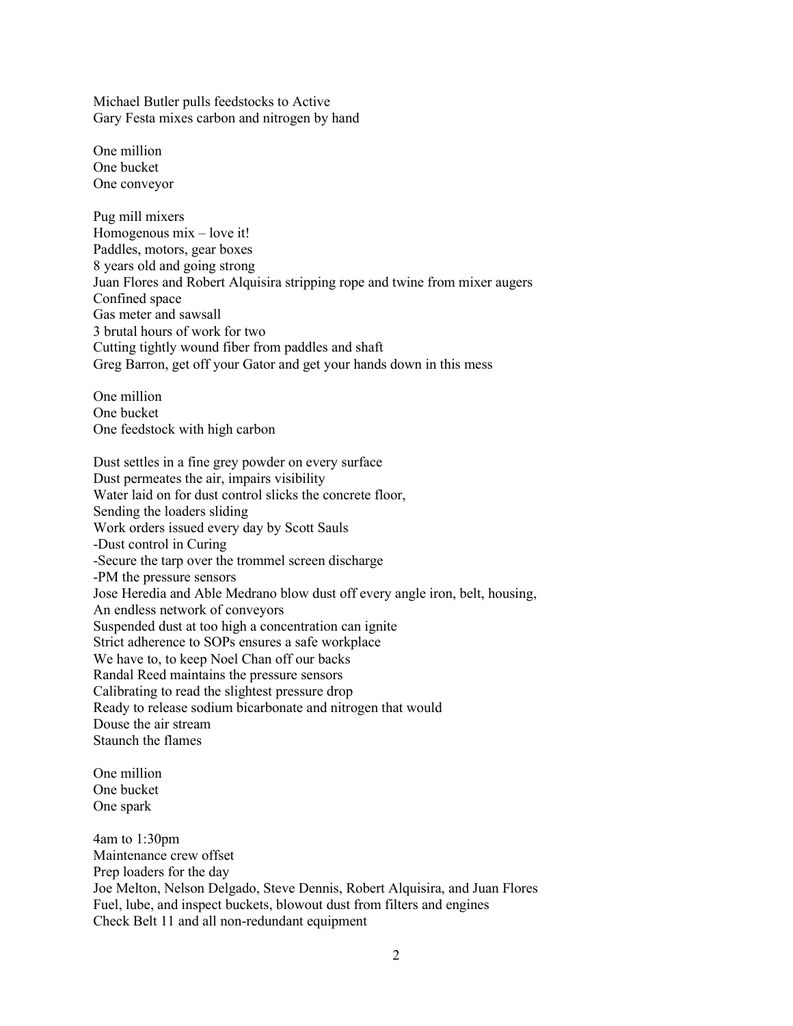Michael Butler pulls feedstocks to Active Gary Festa mixes carbon and nitrogen by hand

One million One bucket One conveyor

Pug mill mixers Homogenous mix – love it! Paddles, motors, gear boxes 8 years old and going strong Juan Flores and Robert Alquisira stripping rope and twine from mixer augers Confined space Gas meter and sawsall 3 brutal hours of work for two Cutting tightly wound fiber from paddles and shaft Greg Barron, get off your Gator and get your hands down in this mess

One million One bucket One feedstock with high carbon

Dust settles in a fine grey powder on every surface Dust permeates the air, impairs visibility Water laid on for dust control slicks the concrete floor, Sending the loaders sliding Work orders issued every day by Scott Sauls -Dust control in Curing -Secure the tarp over the trommel screen discharge -PM the pressure sensors Jose Heredia and Able Medrano blow dust off every angle iron, belt, housing, An endless network of conveyors Suspended dust at too high a concentration can ignite Strict adherence to SOPs ensures a safe workplace We have to, to keep Noel Chan off our backs Randal Reed maintains the pressure sensors Calibrating to read the slightest pressure drop Ready to release sodium bicarbonate and nitrogen that would Douse the air stream Staunch the flames

One million One bucket One spark

4am to 1:30pm Maintenance crew offset Prep loaders for the day Joe Melton, Nelson Delgado, Steve Dennis, Robert Alquisira, and Juan Flores Fuel, lube, and inspect buckets, blowout dust from filters and engines Check Belt 11 and all non-redundant equipment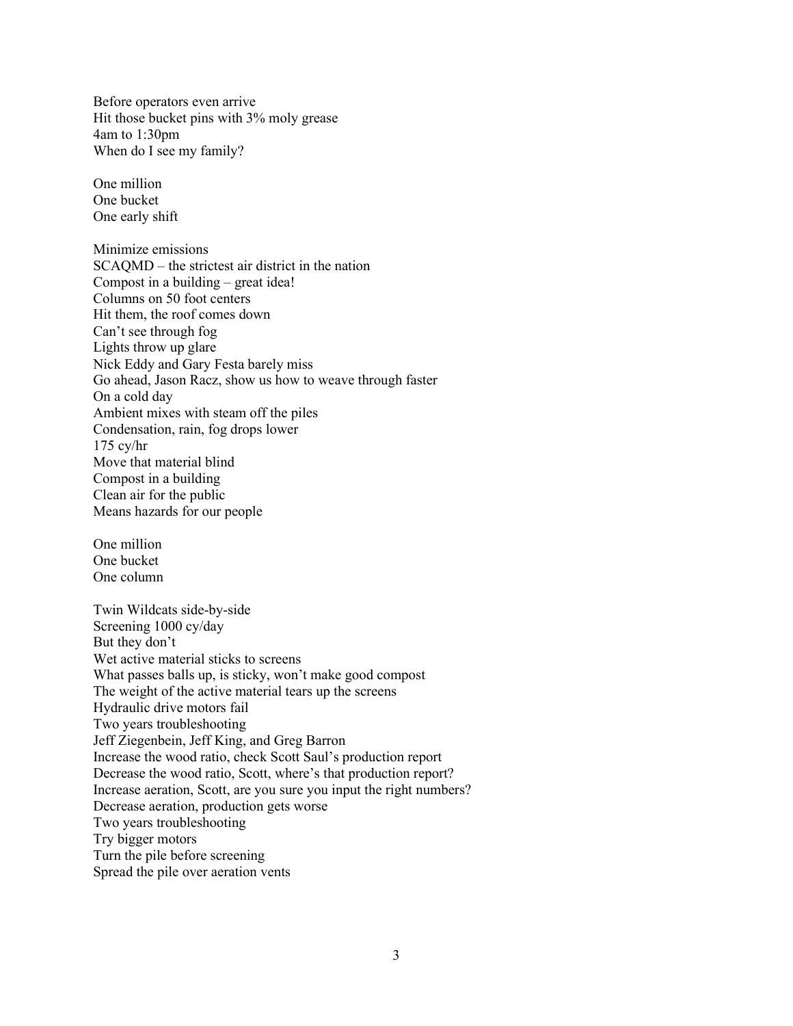Before operators even arrive Hit those bucket pins with 3% moly grease 4am to 1:30pm When do I see my family?

One million One bucket One early shift

Minimize emissions SCAQMD – the strictest air district in the nation Compost in a building – great idea! Columns on 50 foot centers Hit them, the roof comes down Can't see through fog Lights throw up glare Nick Eddy and Gary Festa barely miss Go ahead, Jason Racz, show us how to weave through faster On a cold day Ambient mixes with steam off the piles Condensation, rain, fog drops lower 175 cy/hr Move that material blind Compost in a building Clean air for the public Means hazards for our people

One million One bucket One column

Twin Wildcats side-by-side Screening 1000 cy/day But they don't Wet active material sticks to screens What passes balls up, is sticky, won't make good compost The weight of the active material tears up the screens Hydraulic drive motors fail Two years troubleshooting Jeff Ziegenbein, Jeff King, and Greg Barron Increase the wood ratio, check Scott Saul's production report Decrease the wood ratio, Scott, where's that production report? Increase aeration, Scott, are you sure you input the right numbers? Decrease aeration, production gets worse Two years troubleshooting Try bigger motors Turn the pile before screening Spread the pile over aeration vents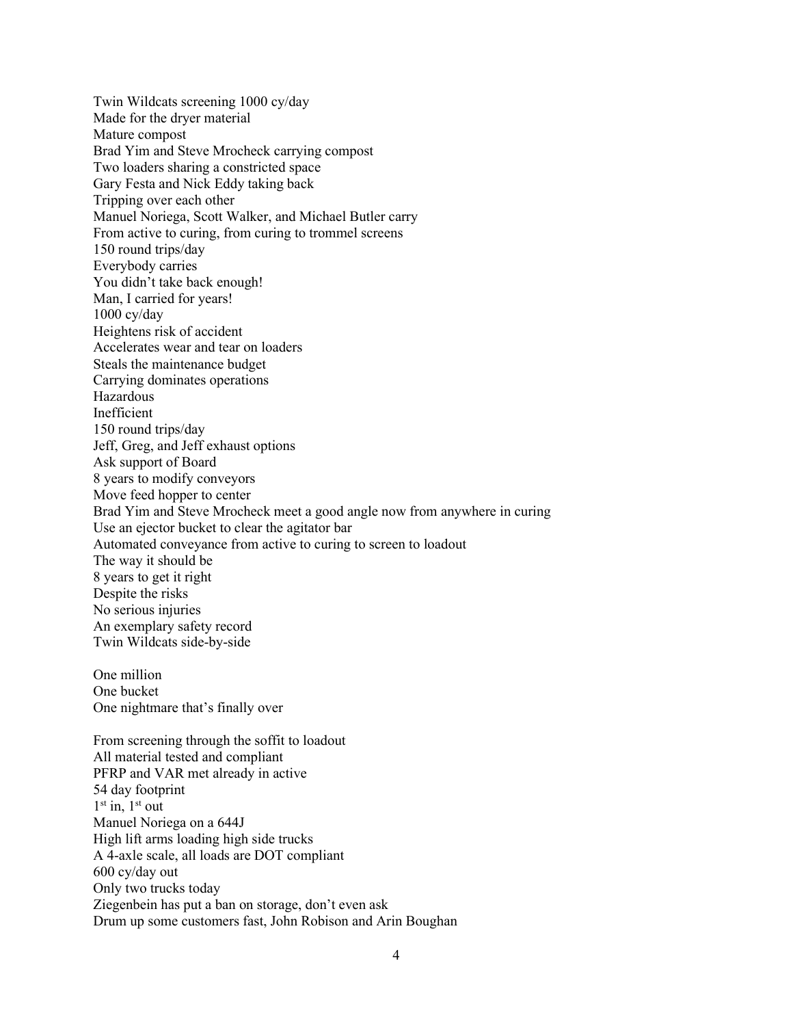Twin Wildcats screening 1000 cy/day Made for the dryer material Mature compost Brad Yim and Steve Mrocheck carrying compost Two loaders sharing a constricted space Gary Festa and Nick Eddy taking back Tripping over each other Manuel Noriega, Scott Walker, and Michael Butler carry From active to curing, from curing to trommel screens 150 round trips/day Everybody carries You didn't take back enough! Man, I carried for years! 1000 cy/day Heightens risk of accident Accelerates wear and tear on loaders Steals the maintenance budget Carrying dominates operations Hazardous Inefficient 150 round trips/day Jeff, Greg, and Jeff exhaust options Ask support of Board 8 years to modify conveyors Move feed hopper to center Brad Yim and Steve Mrocheck meet a good angle now from anywhere in curing Use an ejector bucket to clear the agitator bar Automated conveyance from active to curing to screen to loadout The way it should be 8 years to get it right Despite the risks No serious injuries An exemplary safety record Twin Wildcats side-by-side One million

One bucket One nightmare that's finally over

From screening through the soffit to loadout All material tested and compliant PFRP and VAR met already in active 54 day footprint  $1<sup>st</sup>$  in,  $1<sup>st</sup>$  out Manuel Noriega on a 644J High lift arms loading high side trucks A 4-axle scale, all loads are DOT compliant 600 cy/day out Only two trucks today Ziegenbein has put a ban on storage, don't even ask Drum up some customers fast, John Robison and Arin Boughan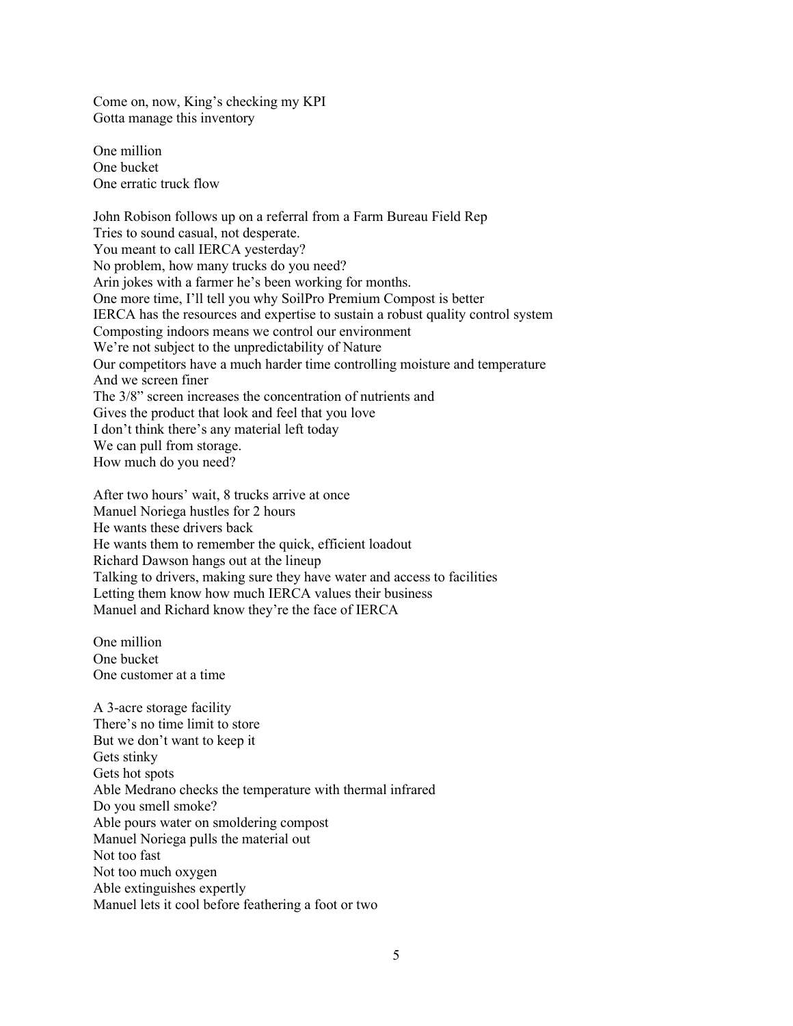Come on, now, King's checking my KPI Gotta manage this inventory

One million One bucket One erratic truck flow

John Robison follows up on a referral from a Farm Bureau Field Rep Tries to sound casual, not desperate. You meant to call IERCA yesterday? No problem, how many trucks do you need? Arin jokes with a farmer he's been working for months. One more time, I'll tell you why SoilPro Premium Compost is better IERCA has the resources and expertise to sustain a robust quality control system Composting indoors means we control our environment We're not subject to the unpredictability of Nature Our competitors have a much harder time controlling moisture and temperature And we screen finer The 3/8" screen increases the concentration of nutrients and Gives the product that look and feel that you love I don't think there's any material left today We can pull from storage. How much do you need?

After two hours' wait, 8 trucks arrive at once Manuel Noriega hustles for 2 hours He wants these drivers back He wants them to remember the quick, efficient loadout Richard Dawson hangs out at the lineup Talking to drivers, making sure they have water and access to facilities Letting them know how much IERCA values their business Manuel and Richard know they're the face of IERCA

One million One bucket One customer at a time

A 3-acre storage facility There's no time limit to store But we don't want to keep it Gets stinky Gets hot spots Able Medrano checks the temperature with thermal infrared Do you smell smoke? Able pours water on smoldering compost Manuel Noriega pulls the material out Not too fast Not too much oxygen Able extinguishes expertly Manuel lets it cool before feathering a foot or two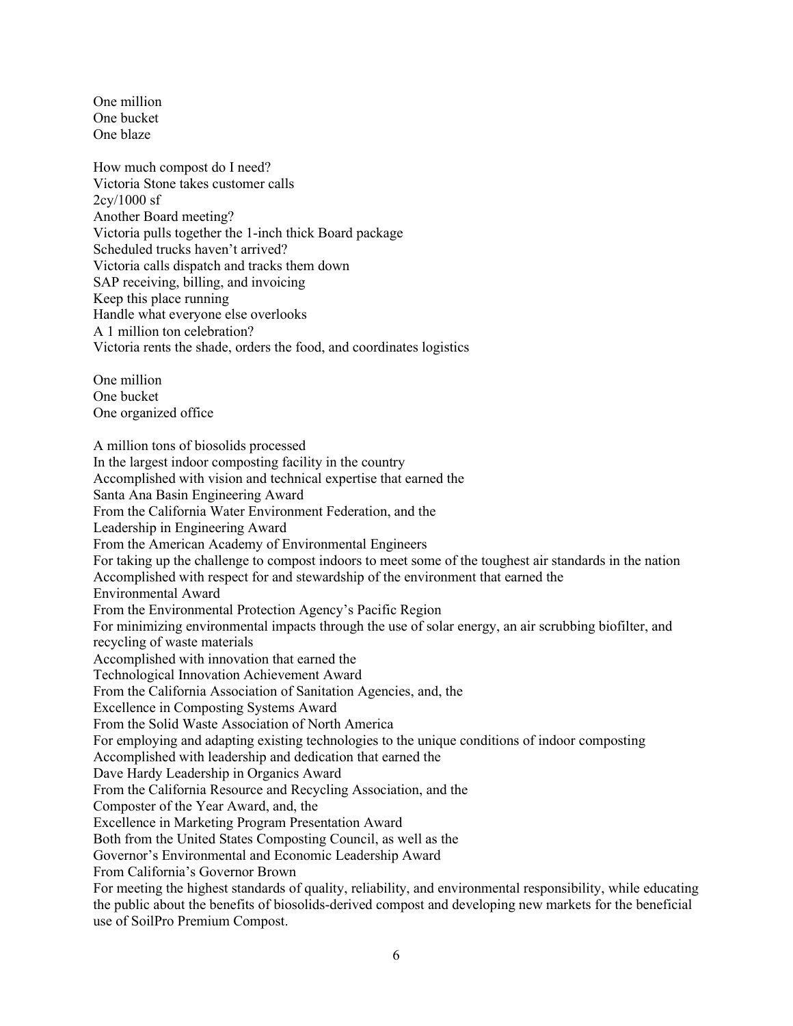One million One bucket One blaze

How much compost do I need? Victoria Stone takes customer calls 2cy/1000 sf Another Board meeting? Victoria pulls together the 1-inch thick Board package Scheduled trucks haven't arrived? Victoria calls dispatch and tracks them down SAP receiving, billing, and invoicing Keep this place running Handle what everyone else overlooks A 1 million ton celebration? Victoria rents the shade, orders the food, and coordinates logistics

One million One bucket One organized office

A million tons of biosolids processed In the largest indoor composting facility in the country Accomplished with vision and technical expertise that earned the Santa Ana Basin Engineering Award From the California Water Environment Federation, and the Leadership in Engineering Award From the American Academy of Environmental Engineers For taking up the challenge to compost indoors to meet some of the toughest air standards in the nation Accomplished with respect for and stewardship of the environment that earned the Environmental Award From the Environmental Protection Agency's Pacific Region For minimizing environmental impacts through the use of solar energy, an air scrubbing biofilter, and recycling of waste materials Accomplished with innovation that earned the Technological Innovation Achievement Award From the California Association of Sanitation Agencies, and, the Excellence in Composting Systems Award From the Solid Waste Association of North America For employing and adapting existing technologies to the unique conditions of indoor composting Accomplished with leadership and dedication that earned the Dave Hardy Leadership in Organics Award From the California Resource and Recycling Association, and the Composter of the Year Award, and, the Excellence in Marketing Program Presentation Award Both from the United States Composting Council, as well as the Governor's Environmental and Economic Leadership Award From California's Governor Brown For meeting the highest standards of quality, reliability, and environmental responsibility, while educating the public about the benefits of biosolids-derived compost and developing new markets for the beneficial

use of SoilPro Premium Compost.